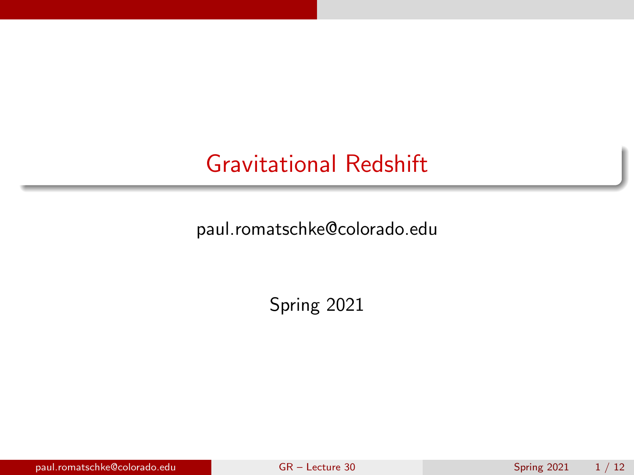# <span id="page-0-0"></span>Gravitational Redshift

paul.romatschke@colorado.edu

Spring 2021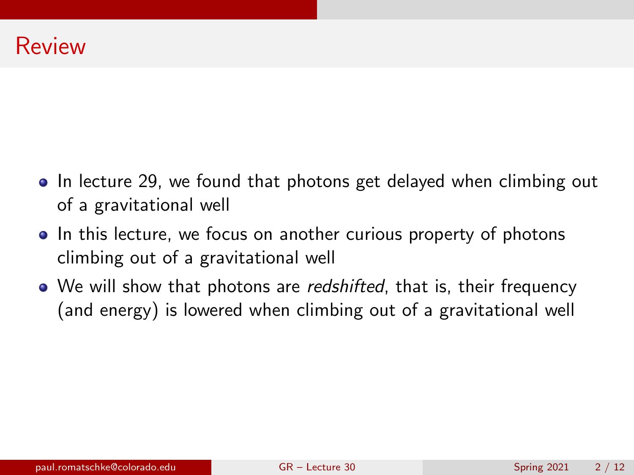- In lecture 29, we found that photons get delayed when climbing out of a gravitational well
- In this lecture, we focus on another curious property of photons climbing out of a gravitational well
- We will show that photons are *redshifted*, that is, their frequency (and energy) is lowered when climbing out of a gravitational well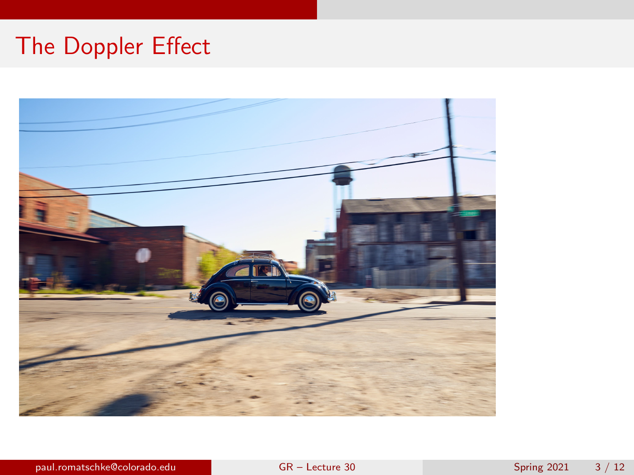# The Doppler Effect

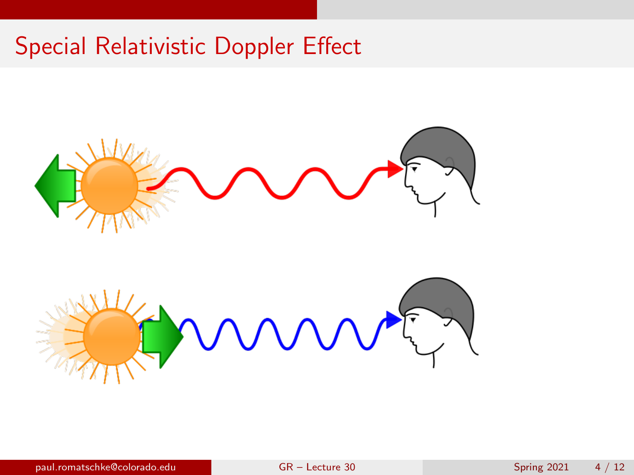# Special Relativistic Doppler Effect





paul.romatschke@colorado.edu [GR – Lecture 30](#page-0-0) Spring 2021 4 / 12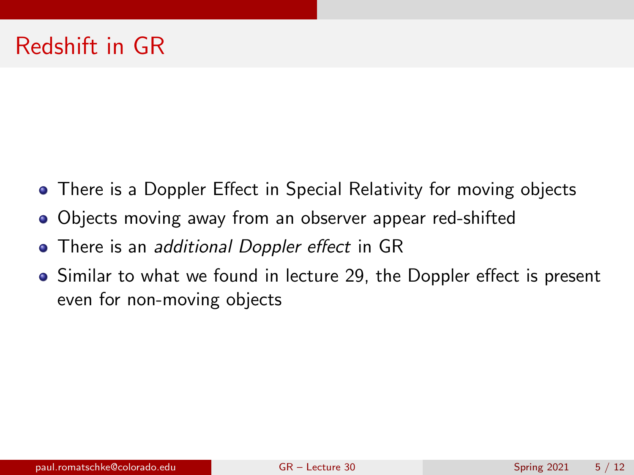- There is a Doppler Effect in Special Relativity for moving objects
- Objects moving away from an observer appear red-shifted
- There is an *additional Doppler effect* in GR
- Similar to what we found in lecture 29, the Doppler effect is present even for non-moving objects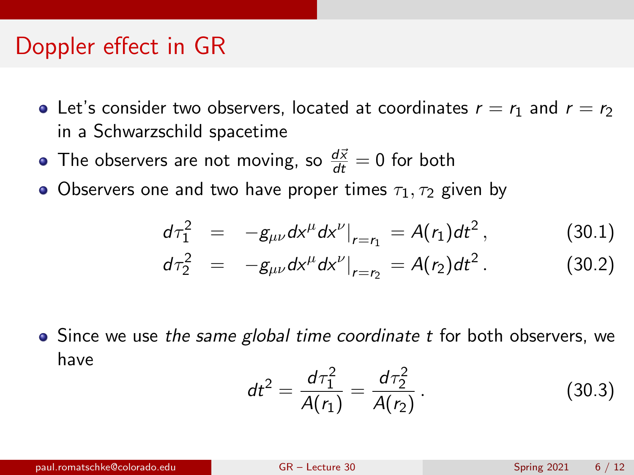#### Doppler effect in GR

- Let's consider two observers, located at coordinates  $r = r_1$  and  $r = r_2$ in a Schwarzschild spacetime
- The observers are not moving, so  $\frac{d\vec{x}}{dt} = 0$  for both
- Observers one and two have proper times  $\tau_1, \tau_2$  given by

$$
d\tau_1^2 = -g_{\mu\nu}dx^{\mu}dx^{\nu}|_{r=r_1} = A(r_1)dt^2, \qquad (30.1)
$$

$$
d\tau_2^2 = -g_{\mu\nu}dx^{\mu}dx^{\nu}|_{r=r_2} = A(r_2)dt^2.
$$
 (30.2)

 $\bullet$  Since we use the same global time coordinate t for both observers, we have

$$
dt^{2} = \frac{d\tau_{1}^{2}}{A(r_{1})} = \frac{d\tau_{2}^{2}}{A(r_{2})}.
$$
 (30.3)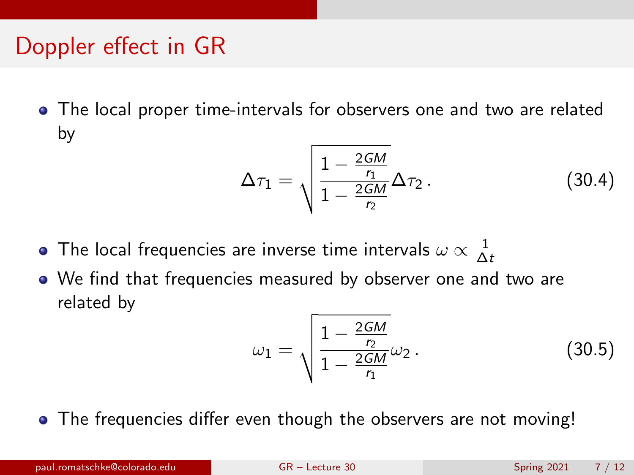# Doppler effect in GR

The local proper time-intervals for observers one and two are related by

$$
\Delta \tau_1 = \sqrt{\frac{1 - \frac{2GM}{r_1}}{1 - \frac{2GM}{r_2}} \Delta \tau_2}.
$$
 (30.4)

- The local frequencies are inverse time intervals  $\omega \propto \frac{1}{\Delta}$ ∆t
- We find that frequencies measured by observer one and two are related by

$$
\omega_1 = \sqrt{\frac{1 - \frac{2GM}{r_2}}{1 - \frac{2GM}{r_1}}}\omega_2.
$$
 (30.5)

• The frequencies differ even though the observers are not moving!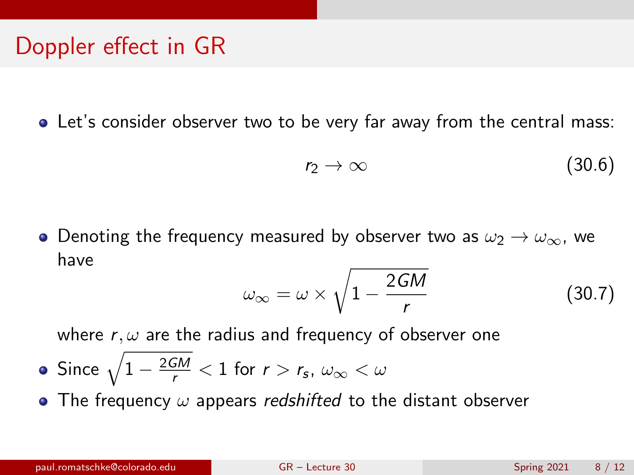# Doppler effect in GR

• Let's consider observer two to be very far away from the central mass:

$$
r_2 \to \infty \tag{30.6}
$$

• Denoting the frequency measured by observer two as  $\omega_2 \rightarrow \omega_{\infty}$ , we have

<span id="page-7-0"></span>
$$
\omega_{\infty} = \omega \times \sqrt{1 - \frac{2GM}{r}}
$$
 (30.7)

where  $r, \omega$  are the radius and frequency of observer one

- Since  $\sqrt{1-\frac{2GM}{r}} < 1$  for  $r > r_{\mathsf{s}}, \ \omega_{\infty} < \omega$
- The frequency  $\omega$  appears redshifted to the distant observer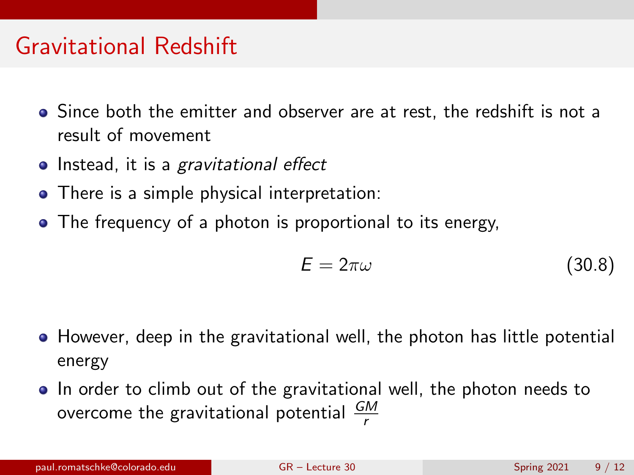#### Gravitational Redshift

- Since both the emitter and observer are at rest, the redshift is not a result of movement
- Instead, it is a gravitational effect
- There is a simple physical interpretation:
- The frequency of a photon is proportional to its energy.

$$
E = 2\pi\omega \tag{30.8}
$$

- However, deep in the gravitational well, the photon has little potential energy
- In order to climb out of the gravitational well, the photon needs to overcome the gravitational potential  $\frac{GM}{r}$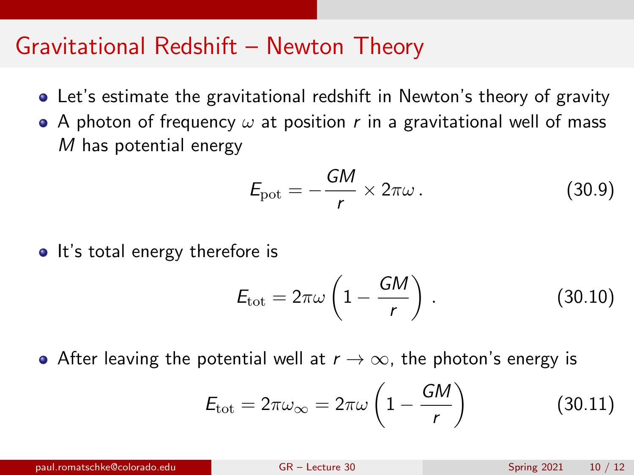#### Gravitational Redshift – Newton Theory

- Let's estimate the gravitational redshift in Newton's theory of gravity
- A photon of frequency  $\omega$  at position r in a gravitational well of mass M has potential energy

$$
E_{\rm pot} = -\frac{GM}{r} \times 2\pi\omega \,. \tag{30.9}
$$

• It's total energy therefore is

$$
E_{\rm tot} = 2\pi\omega \left(1 - \frac{GM}{r}\right). \tag{30.10}
$$

After leaving the potential well at  $r \to \infty$ , the photon's energy is

$$
E_{\text{tot}} = 2\pi\omega_{\infty} = 2\pi\omega \left(1 - \frac{GM}{r}\right) \tag{30.11}
$$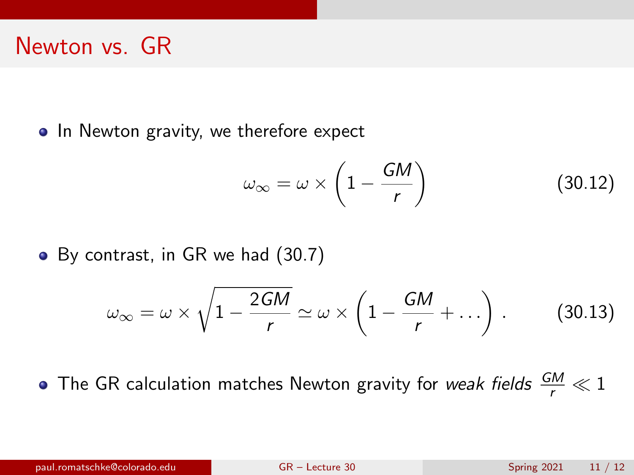#### Newton vs. GR

• In Newton gravity, we therefore expect

$$
\omega_{\infty} = \omega \times \left(1 - \frac{GM}{r}\right) \tag{30.12}
$$

• By contrast, in GR we had [\(30.7\)](#page-7-0)

$$
\omega_{\infty} = \omega \times \sqrt{1 - \frac{2GM}{r}} \simeq \omega \times \left(1 - \frac{GM}{r} + \ldots\right). \tag{30.13}
$$

The GR calculation matches Newton gravity for *weak fields*  $\frac{GM}{r} \ll 1$